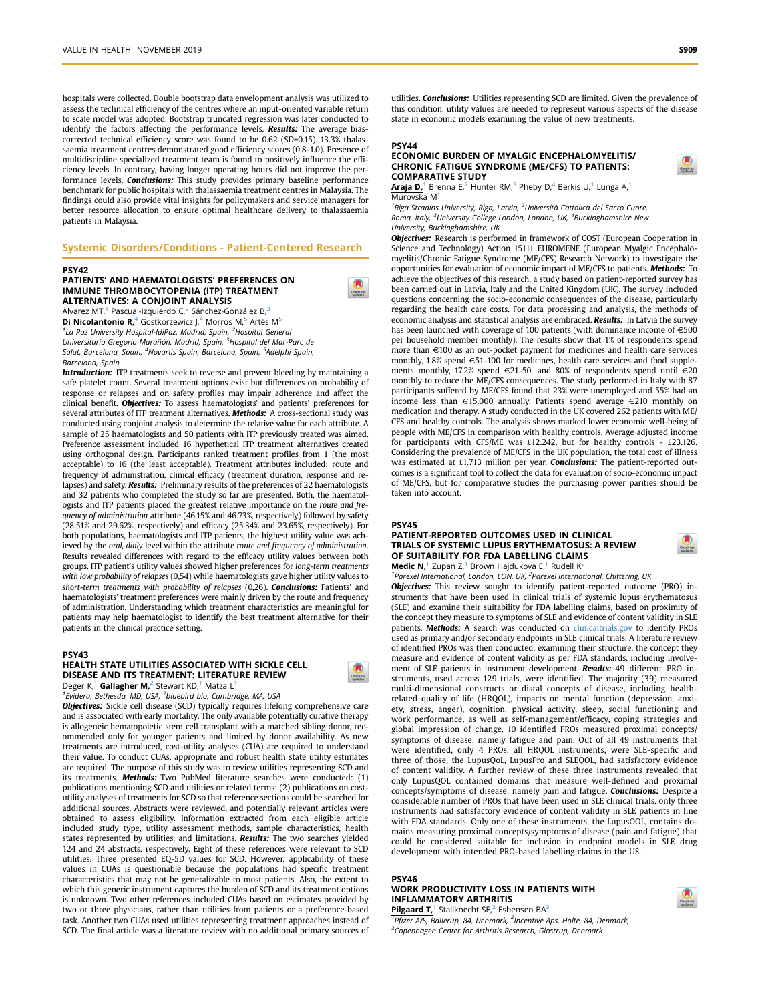hospitals were collected. Double bootstrap data envelopment analysis was utilized to assess the technical efficiency of the centres where an input-oriented variable return to scale model was adopted. Bootstrap truncated regression was later conducted to identify the factors affecting the performance levels. Results: The average biascorrected technical efficiency score was found to be 0.62 (SD=0.15). 13.3% thalassaemia treatment centres demonstrated good efficiency scores (0.8-1.0). Presence of multidiscipline specialized treatment team is found to positively influence the efficiency levels. In contrary, having longer operating hours did not improve the performance levels. **Conclusions:** This study provides primary baseline performance benchmark for public hospitals with thalassaemia treatment centres in Malaysia. The findings could also provide vital insights for policymakers and service managers for better resource allocation to ensure optimal healthcare delivery to thalassaemia patients in Malaysia.

#### Systemic Disorders/Conditions - Patient-Centered Research

#### PSY42

#### PATIENTS' AND HAEMATOLOGISTS' PREFERENCES ON IMMUNE THROMBOCYTOPENIA (ITP) TREATMENT ALTERNATIVES: A CONJOINT ANALYSIS

Álvarez MT,<sup>1</sup> Pascual-Izquierdo C,<sup>2</sup> Sánchez-González B,<sup>3</sup> Di Nicolantonio R,<sup>4</sup> Gostkorzewicz J,<sup>4</sup> Morros M,<sup>5</sup> Artés M<sup>5</sup> <sup>1</sup>La Paz University Hospital-IdiPaz, Madrid, Spain, <sup>2</sup>Hospital General Universitario Gregorio Marañón, Madrid, Spain, <sup>3</sup>Hospital del Mar-Parc de Salut, Barcelona, Spain, <sup>4</sup>Novartis Spain, Barcelona, Spain, <sup>5</sup>Adelphi Spain, Barcelona, Spain

**Introduction:** ITP treatments seek to reverse and prevent bleeding by maintaining a safe platelet count. Several treatment options exist but differences on probability of response or relapses and on safety profiles may impair adherence and affect the clinical benefit. Objectives: To assess haematologists' and patients' preferences for several attributes of ITP treatment alternatives. Methods: A cross-sectional study was conducted using conjoint analysis to determine the relative value for each attribute. A sample of 25 haematologists and 50 patients with ITP previously treated was aimed. Preference assessment included 16 hypothetical ITP treatment alternatives created using orthogonal design. Participants ranked treatment profiles from 1 (the most acceptable) to 16 (the least acceptable). Treatment attributes included: route and frequency of administration, clinical efficacy (treatment duration, response and relapses) and safety. Results: Preliminary results of the preferences of 22 haematologists and 32 patients who completed the study so far are presented. Both, the haematologists and ITP patients placed the greatest relative importance on the route and frequency of administration attribute (46.15% and 46.73%, respectively) followed by safety (28.51% and 29.62%, respectively) and efficacy (25.34% and 23.65%, respectively). For both populations, haematologists and ITP patients, the highest utility value was achieved by the oral, daily level within the attribute route and frequency of administration. Results revealed differences with regard to the efficacy utility values between both groups. ITP patient's utility values showed higher preferences for long-term treatments with low probability of relapses (0,54) while haematologists gave higher utility values to short-term treatments with probability of relapses (0,26). Conclusions: Patients' and haematologists' treatment preferences were mainly driven by the route and frequency of administration. Understanding which treatment characteristics are meaningful for patients may help haematologist to identify the best treatment alternative for their patients in the clinical practice setting.

#### PSY43 HEALTH STATE UTILITIES ASSOCIATED WITH SICKLE CELL DISEASE AND ITS TREATMENT: LITERATURE REVIEW

Deger K,<sup>1</sup> Gallagher M,<sup>2</sup> Stewart KD,<sup>1</sup> Matza L<sup>1</sup>

<sup>1</sup> Evidera, Bethesda, MD, USA, <sup>2</sup> bluebird bio, Cambridge, MA, USA

**Objectives:** Sickle cell disease (SCD) typically requires lifelong comprehensive care and is associated with early mortality. The only available potentially curative therapy is allogeneic hematopoietic stem cell transplant with a matched sibling donor, recommended only for younger patients and limited by donor availability. As new treatments are introduced, cost-utility analyses (CUA) are required to understand their value. To conduct CUAs, appropriate and robust health state utility estimates are required. The purpose of this study was to review utilities representing SCD and its treatments. **Methods:** Two PubMed literature searches were conducted: (1) publications mentioning SCD and utilities or related terms; (2) publications on costutility analyses of treatments for SCD so that reference sections could be searched for additional sources. Abstracts were reviewed, and potentially relevant articles were obtained to assess eligibility. Information extracted from each eligible article included study type, utility assessment methods, sample characteristics, health states represented by utilities, and limitations. Results: The two searches yielded 124 and 24 abstracts, respectively. Eight of these references were relevant to SCD utilities. Three presented EQ-5D values for SCD. However, applicability of these values in CUAs is questionable because the populations had specific treatment characteristics that may not be generalizable to most patients. Also, the extent to which this generic instrument captures the burden of SCD and its treatment options is unknown. Two other references included CUAs based on estimates provided by two or three physicians, rather than utilities from patients or a preference-based task. Another two CUAs used utilities representing treatment approaches instead of SCD. The final article was a literature review with no additional primary sources of

utilities. Conclusions: Utilities representing SCD are limited. Given the prevalence of this condition, utility values are needed to represent various aspects of the disease state in economic models examining the value of new treatments.

# PSY44

#### ECONOMIC BURDEN OF MYALGIC ENCEPHALOMYELITIS/ CHRONIC FATIGUE SYNDROME (ME/CFS) TO PATIENTS: COMPARATIVE STUDY

**Araja D,**<sup>1</sup> Brenna E,<sup>2</sup> Hunter RM,<sup>3</sup> Pheby D,<sup>4</sup> Berkis U,<sup>1</sup> Lunga A,<sup>1</sup> Murovska M1

<sup>1</sup>Riga Stradins University, Riga, Latvia, <sup>2</sup>Università Cattolica del Sacro Cuore, Roma, Italy, <sup>3</sup>University College London, London, UK, <sup>4</sup>Buckinghamshire New University, Buckinghamshire, UK

**Objectives:** Research is performed in framework of COST (European Cooperation in Science and Technology) Action 15111 EUROMENE (European Myalgic Encephalomyelitis/Chronic Fatigue Syndrome (ME/CFS) Research Network) to investigate the opportunities for evaluation of economic impact of ME/CFS to patients. Methods: To achieve the objectives of this research, a study based on patient-reported survey has been carried out in Latvia, Italy and the United Kingdom (UK). The survey included questions concerning the socio-economic consequences of the disease, particularly regarding the health care costs. For data processing and analysis, the methods of economic analysis and statistical analysis are embraced. Results: In Latvia the survey has been launched with coverage of 100 patients (with dominance income of  $\in$  500 per household member monthly). The results show that 1% of respondents spend more than  $\in$  100 as an out-pocket payment for medicines and health care services monthly, 1.8% spend  $\in$  51-100 for medicines, health care services and food supplements monthly, 17.2% spend  $\in$  21-50, and 80% of respondents spend until  $\in$  20 monthly to reduce the ME/CFS consequences. The study performed in Italy with 87 participants suffered by ME/CFS found that 23% were unemployed and 55% had an income less than  $\epsilon$ 15.000 annually. Patients spend average  $\epsilon$ 210 monthly on medication and therapy. A study conducted in the UK covered 262 patients with ME/ CFS and healthy controls. The analysis shows marked lower economic well-being of people with ME/CFS in comparison with healthy controls. Average adjusted income for participants with CFS/ME was £12.242, but for healthy controls - £23.126. Considering the prevalence of ME/CFS in the UK population, the total cost of illness was estimated at £1.713 million per year. Conclusions: The patient-reported outcomes is a significant tool to collect the data for evaluation of socio-economic impact of ME/CFS, but for comparative studies the purchasing power parities should be taken into account.

#### PSY45

#### PATIENT-REPORTED OUTCOMES USED IN CLINICAL TRIALS OF SYSTEMIC LUPUS ERYTHEMATOSUS: A REVIEW OF SUITABILITY FOR FDA LABELLING CLAIMS Medic N,<sup>1</sup> Zupan Z,<sup>1</sup> Brown Hajdukova E,<sup>1</sup> Rudell K<sup>2</sup>

<sup>1</sup> Parexel International, London, LON, UK, <sup>2</sup> Parexel International, Chittering, UK Objectives: This review sought to identify patient-reported outcome (PRO) instruments that have been used in clinical trials of systemic lupus erythematosus (SLE) and examine their suitability for FDA labelling claims, based on proximity of the concept they measure to symptoms of SLE and evidence of content validity in SLE patients. Methods: A search was conducted on [clinicaltrials.gov](http://clinicaltrials.gov) to identify PROs used as primary and/or secondary endpoints in SLE clinical trials. A literature review of identified PROs was then conducted, examining their structure, the concept they measure and evidence of content validity as per FDA standards, including involvement of SLE patients in instrument development. Results: 49 different PRO instruments, used across 129 trials, were identified. The majority (39) measured multi-dimensional constructs or distal concepts of disease, including healthrelated quality of life (HRQOL), impacts on mental function (depression, anxiety, stress, anger), cognition, physical activity, sleep, social functioning and work performance, as well as self-management/efficacy, coping strategies and global impression of change. 10 identified PROs measured proximal concepts/ symptoms of disease, namely fatigue and pain. Out of all 49 instruments that were identified, only 4 PROs, all HRQOL instruments, were SLE-specific and three of those, the LupusQoL, LupusPro and SLEQOL, had satisfactory evidence of content validity. A further review of these three instruments revealed that only LupusQOL contained domains that measure well-defined and proximal concepts/symptoms of disease, namely pain and fatigue. Conclusions: Despite a considerable number of PROs that have been used in SLE clinical trials, only three instruments had satisfactory evidence of content validity in SLE patients in line with FDA standards. Only one of these instruments, the LupusOOL, contains domains measuring proximal concepts/symptoms of disease (pain and fatigue) that could be considered suitable for inclusion in endpoint models in SLE drug development with intended PRO-based labelling claims in the US.

# PSY46

#### WORK PRODUCTIVITY LOSS IN PATIENTS WITH INFLAMMATORY ARTHRITIS **Pilgaard T,**<sup>1</sup> Stallknecht SE,<sup>2</sup> Esbensen BA<sup>3</sup>



<sup>1</sup>Pfizer A/S, Ballerup, 84, Denmark, <sup>2</sup>Incentive Aps, Holte, 84, Denmark, <sup>3</sup>Copenhagen Center for Arthritis Research, Glostrup, Denmark